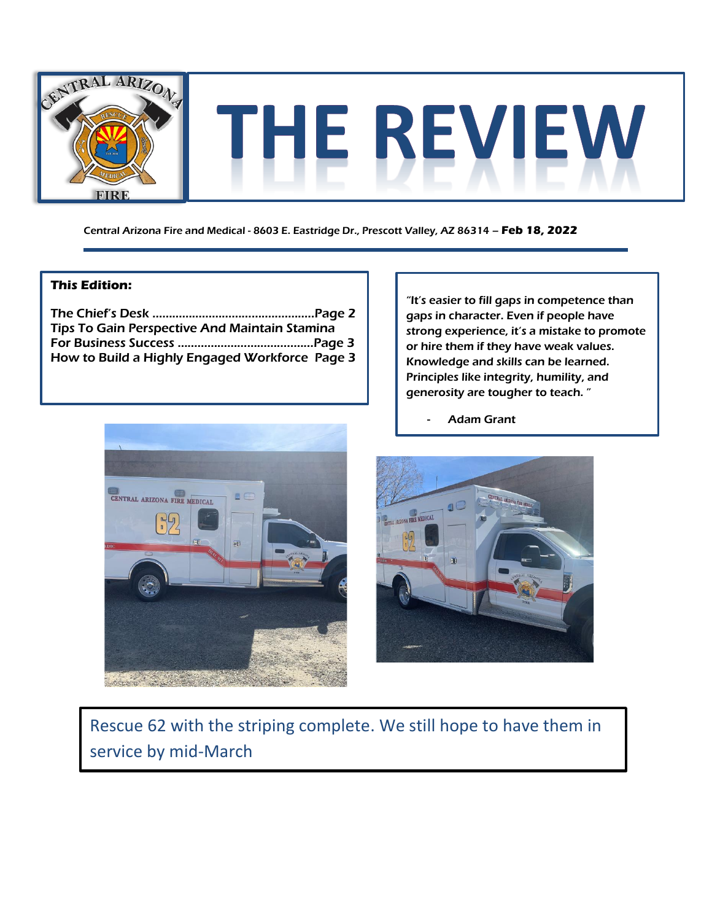

Central Arizona Fire and Medical - 8603 E. Eastridge Dr., Prescott Valley, AZ 86314 – **Feb 18, 2022**

### **This Edition:**

The Chief's Desk ………………………………..………..Page 2 Tips To Gain Perspective And Maintain Stamina For Business Success ………………………….....…...Page 3 How to Build a Highly Engaged Workforce Page 3

"It's easier to fill gaps in competence than gaps in character. Even if people have strong experience, it's a mistake to promote or hire them if they have weak values. Knowledge and skills can be learned. Principles like integrity, humility, and generosity are tougher to teach. "



**Adam Grant** 



Rescue 62 with the striping complete. We still hope to have them in service by mid-March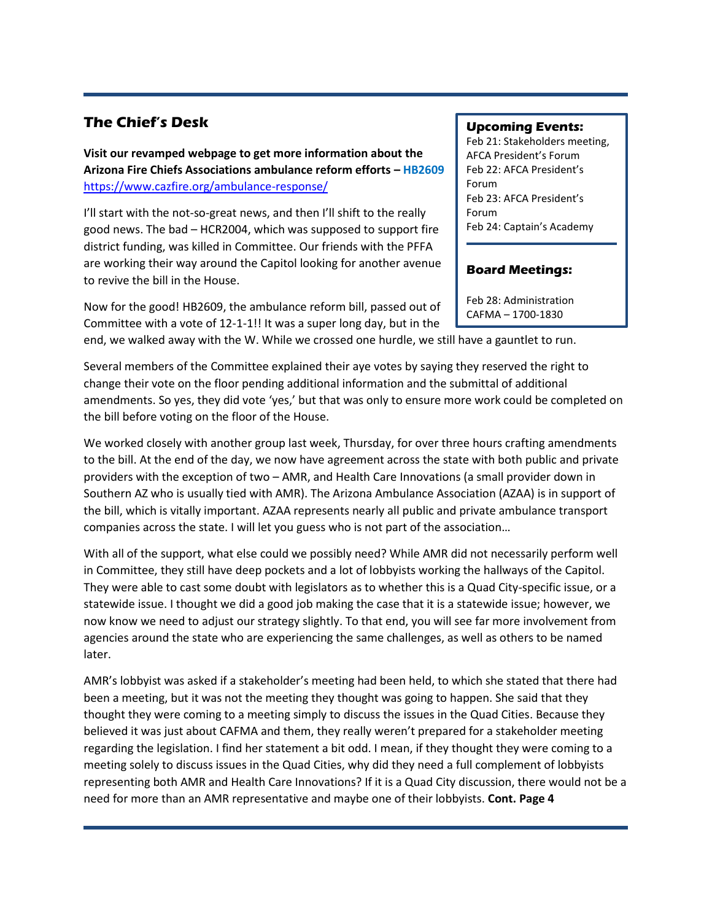## **The Chief's Desk**

**Visit our revamped webpage to get more information about the Arizona Fire Chiefs Associations ambulance reform efforts – HB2609** <https://www.cazfire.org/ambulance-response/>

I'll start with the not-so-great news, and then I'll shift to the really good news. The bad – HCR2004, which was supposed to support fire district funding, was killed in Committee. Our friends with the PFFA are working their way around the Capitol looking for another avenue to revive the bill in the House.

Now for the good! HB2609, the ambulance reform bill, passed out of Committee with a vote of 12-1-1!! It was a super long day, but in the

end, we walked away with the W. While we crossed one hurdle, we still have a gauntlet to run.

Several members of the Committee explained their aye votes by saying they reserved the right to change their vote on the floor pending additional information and the submittal of additional amendments. So yes, they did vote 'yes,' but that was only to ensure more work could be completed on the bill before voting on the floor of the House.

We worked closely with another group last week, Thursday, for over three hours crafting amendments to the bill. At the end of the day, we now have agreement across the state with both public and private providers with the exception of two – AMR, and Health Care Innovations (a small provider down in Southern AZ who is usually tied with AMR). The Arizona Ambulance Association (AZAA) is in support of the bill, which is vitally important. AZAA represents nearly all public and private ambulance transport companies across the state. I will let you guess who is not part of the association…

With all of the support, what else could we possibly need? While AMR did not necessarily perform well in Committee, they still have deep pockets and a lot of lobbyists working the hallways of the Capitol. They were able to cast some doubt with legislators as to whether this is a Quad City-specific issue, or a statewide issue. I thought we did a good job making the case that it is a statewide issue; however, we now know we need to adjust our strategy slightly. To that end, you will see far more involvement from agencies around the state who are experiencing the same challenges, as well as others to be named later.

AMR's lobbyist was asked if a stakeholder's meeting had been held, to which she stated that there had been a meeting, but it was not the meeting they thought was going to happen. She said that they thought they were coming to a meeting simply to discuss the issues in the Quad Cities. Because they believed it was just about CAFMA and them, they really weren't prepared for a stakeholder meeting regarding the legislation. I find her statement a bit odd. I mean, if they thought they were coming to a meeting solely to discuss issues in the Quad Cities, why did they need a full complement of lobbyists representing both AMR and Health Care Innovations? If it is a Quad City discussion, there would not be a need for more than an AMR representative and maybe one of their lobbyists. **Cont. Page 4**

#### **Upcoming Events:**

Feb 21: Stakeholders meeting, AFCA President's Forum Feb 22: AFCA President's Forum Feb 23: AFCA President's Forum Feb 24: Captain's Academy

### **Board Meetings:**

Feb 28: Administration CAFMA – 1700-1830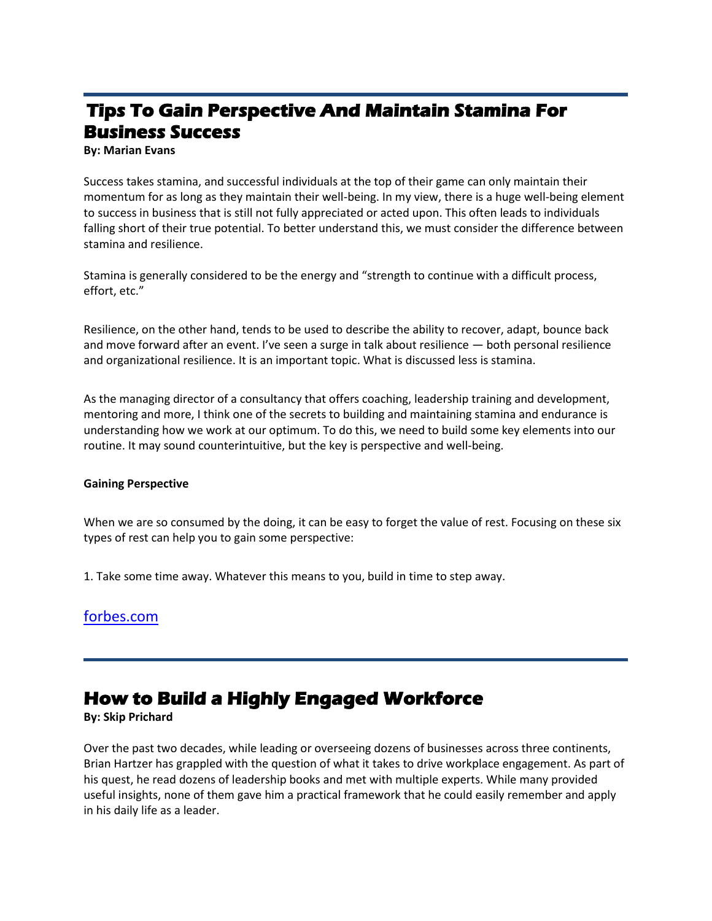# **Tips To Gain Perspective And Maintain Stamina For Business Success**

**By: Marian Evans** 

Success takes stamina, and successful individuals at the top of their game can only maintain their momentum for as long as they maintain their well-being. In my view, there is a huge well-being element to success in business that is still not fully appreciated or acted upon. This often leads to individuals falling short of their true potential. To better understand this, we must consider the difference between stamina and resilience.

Stamina is generally considered to be the energy and "strength to continue with a difficult process, effort, etc."

Resilience, on the other hand, tends to be used to describe the ability to recover, adapt, bounce back and move forward after an event. I've seen a surge in talk about resilience — both personal resilience and organizational resilience. It is an important topic. What is discussed less is stamina.

As the managing director of a consultancy that offers coaching, leadership training and development, mentoring and more, I think one of the secrets to building and maintaining stamina and endurance is understanding how we work at our optimum. To do this, we need to build some key elements into our routine. It may sound counterintuitive, but the key is perspective and well-being.

#### **Gaining Perspective**

When we are so consumed by the doing, it can be easy to forget the value of rest. Focusing on these six types of rest can help you to gain some perspective:

1. Take some time away. Whatever this means to you, build in time to step away.

## [forbes.com](https://www.forbes.com/sites/forbesbusinesscouncil/2022/02/04/tips-to-gain-perspective-and-maintain-stamina-for-business-success/?sh=212732643335)

# **How to Build a Highly Engaged Workforce**

#### **By: Skip Prichard**

Over the past two decades, while leading or overseeing dozens of businesses across three continents, Brian Hartzer has grappled with the question of what it takes to drive workplace engagement. As part of his quest, he read dozens of leadership books and met with multiple experts. While many provided useful insights, none of them gave him a practical framework that he could easily remember and apply in his daily life as a leader.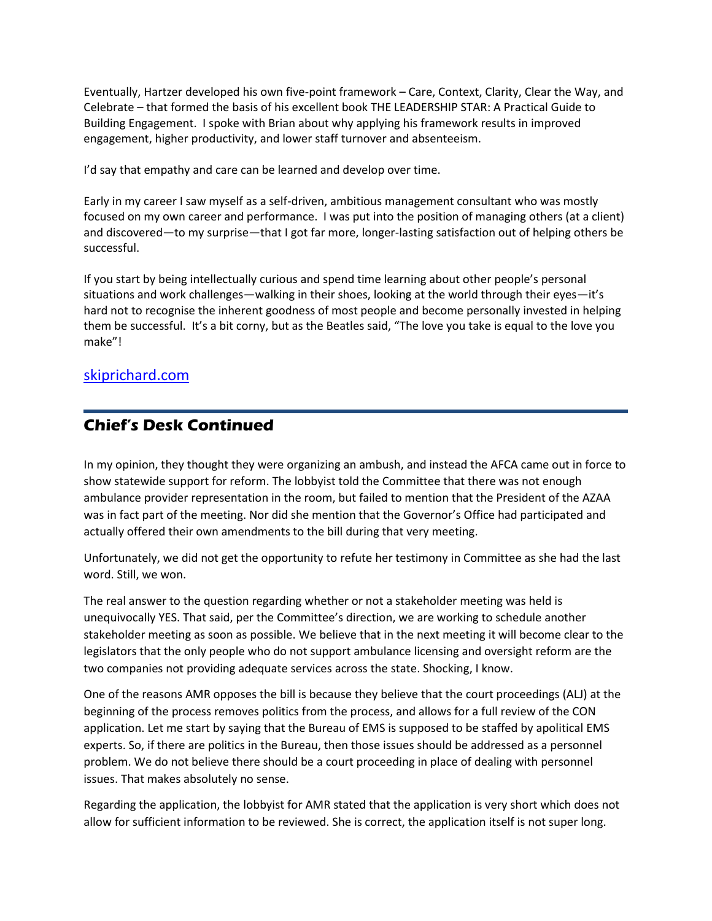Eventually, Hartzer developed his own five-point framework – Care, Context, Clarity, Clear the Way, and Celebrate – that formed the basis of his excellent book THE LEADERSHIP STAR: A Practical Guide to Building Engagement. I spoke with Brian about why applying his framework results in improved engagement, higher productivity, and lower staff turnover and absenteeism.

I'd say that empathy and care can be learned and develop over time.

Early in my career I saw myself as a self-driven, ambitious management consultant who was mostly focused on my own career and performance. I was put into the position of managing others (at a client) and discovered—to my surprise—that I got far more, longer-lasting satisfaction out of helping others be successful.

If you start by being intellectually curious and spend time learning about other people's personal situations and work challenges—walking in their shoes, looking at the world through their eyes—it's hard not to recognise the inherent goodness of most people and become personally invested in helping them be successful. It's a bit corny, but as the Beatles said, "The love you take is equal to the love you make"!

## [skiprichard.com](https://www.skipprichard.com/how-to-build-a-highly-engaged-workforce/)

## **Chief's Desk Continued**

In my opinion, they thought they were organizing an ambush, and instead the AFCA came out in force to show statewide support for reform. The lobbyist told the Committee that there was not enough ambulance provider representation in the room, but failed to mention that the President of the AZAA was in fact part of the meeting. Nor did she mention that the Governor's Office had participated and actually offered their own amendments to the bill during that very meeting.

Unfortunately, we did not get the opportunity to refute her testimony in Committee as she had the last word. Still, we won.

The real answer to the question regarding whether or not a stakeholder meeting was held is unequivocally YES. That said, per the Committee's direction, we are working to schedule another stakeholder meeting as soon as possible. We believe that in the next meeting it will become clear to the legislators that the only people who do not support ambulance licensing and oversight reform are the two companies not providing adequate services across the state. Shocking, I know.

One of the reasons AMR opposes the bill is because they believe that the court proceedings (ALJ) at the beginning of the process removes politics from the process, and allows for a full review of the CON application. Let me start by saying that the Bureau of EMS is supposed to be staffed by apolitical EMS experts. So, if there are politics in the Bureau, then those issues should be addressed as a personnel problem. We do not believe there should be a court proceeding in place of dealing with personnel issues. That makes absolutely no sense.

Regarding the application, the lobbyist for AMR stated that the application is very short which does not allow for sufficient information to be reviewed. She is correct, the application itself is not super long.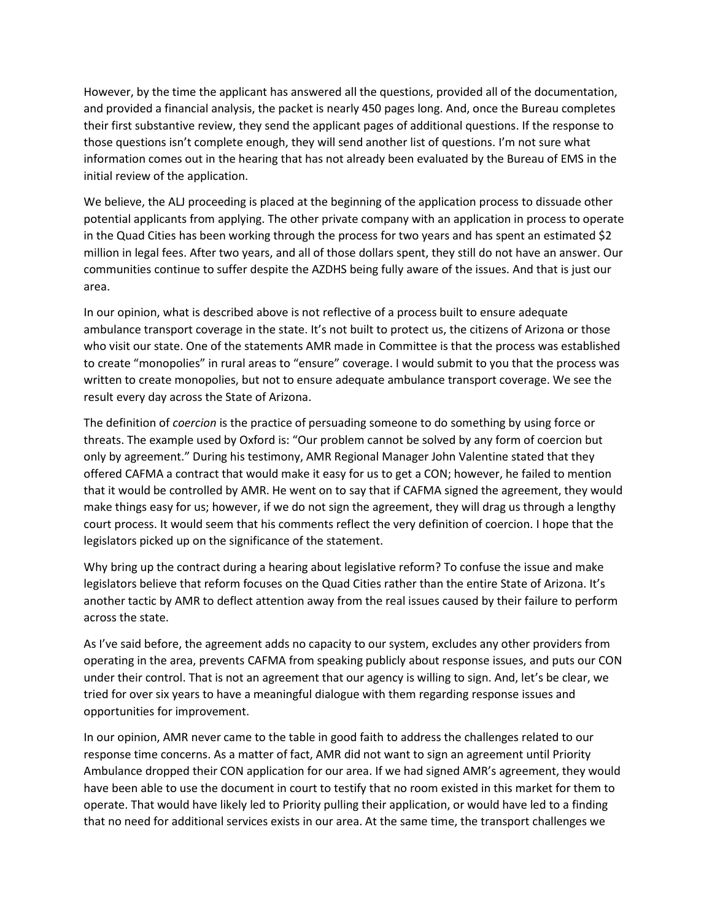However, by the time the applicant has answered all the questions, provided all of the documentation, and provided a financial analysis, the packet is nearly 450 pages long. And, once the Bureau completes their first substantive review, they send the applicant pages of additional questions. If the response to those questions isn't complete enough, they will send another list of questions. I'm not sure what information comes out in the hearing that has not already been evaluated by the Bureau of EMS in the initial review of the application.

We believe, the ALJ proceeding is placed at the beginning of the application process to dissuade other potential applicants from applying. The other private company with an application in process to operate in the Quad Cities has been working through the process for two years and has spent an estimated \$2 million in legal fees. After two years, and all of those dollars spent, they still do not have an answer. Our communities continue to suffer despite the AZDHS being fully aware of the issues. And that is just our area.

In our opinion, what is described above is not reflective of a process built to ensure adequate ambulance transport coverage in the state. It's not built to protect us, the citizens of Arizona or those who visit our state. One of the statements AMR made in Committee is that the process was established to create "monopolies" in rural areas to "ensure" coverage. I would submit to you that the process was written to create monopolies, but not to ensure adequate ambulance transport coverage. We see the result every day across the State of Arizona.

The definition of *coercion* is the practice of persuading someone to do something by using force or threats. The example used by Oxford is: "Our problem cannot be solved by any form of coercion but only by agreement." During his testimony, AMR Regional Manager John Valentine stated that they offered CAFMA a contract that would make it easy for us to get a CON; however, he failed to mention that it would be controlled by AMR. He went on to say that if CAFMA signed the agreement, they would make things easy for us; however, if we do not sign the agreement, they will drag us through a lengthy court process. It would seem that his comments reflect the very definition of coercion. I hope that the legislators picked up on the significance of the statement.

Why bring up the contract during a hearing about legislative reform? To confuse the issue and make legislators believe that reform focuses on the Quad Cities rather than the entire State of Arizona. It's another tactic by AMR to deflect attention away from the real issues caused by their failure to perform across the state.

As I've said before, the agreement adds no capacity to our system, excludes any other providers from operating in the area, prevents CAFMA from speaking publicly about response issues, and puts our CON under their control. That is not an agreement that our agency is willing to sign. And, let's be clear, we tried for over six years to have a meaningful dialogue with them regarding response issues and opportunities for improvement.

In our opinion, AMR never came to the table in good faith to address the challenges related to our response time concerns. As a matter of fact, AMR did not want to sign an agreement until Priority Ambulance dropped their CON application for our area. If we had signed AMR's agreement, they would have been able to use the document in court to testify that no room existed in this market for them to operate. That would have likely led to Priority pulling their application, or would have led to a finding that no need for additional services exists in our area. At the same time, the transport challenges we